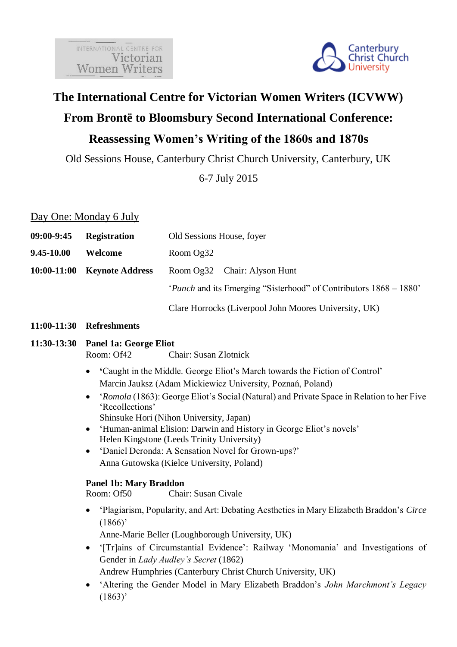

# **The International Centre for Victorian Women Writers (ICVWW)**

# **From Brontë to Bloomsbury Second International Conference: Reassessing Women's Writing of the 1860s and 1870s**

Old Sessions House, Canterbury Christ Church University, Canterbury, UK

6-7 July 2015

### Day One: Monday 6 July

| $09:00 - 9:45$ | <b>Registration</b>    | Old Sessions House, foyer                                                 |
|----------------|------------------------|---------------------------------------------------------------------------|
| $9.45 - 10.00$ | Welcome                | Room Og32                                                                 |
| $10:00-11:00$  | <b>Keynote Address</b> | Room Og32 Chair: Alyson Hunt                                              |
|                |                        | ' <i>Punch</i> and its Emerging "Sisterhood" of Contributors 1868 – 1880' |
|                |                        |                                                                           |

Clare Horrocks (Liverpool John Moores University, UK)

#### **11:00-11:30 Refreshments**

# **11:30-13:30 Panel 1a: George Eliot**

Room: Of42 Chair: Susan Zlotnick

- **'**Caught in the Middle. George Eliot's March towards the Fiction of Control' Marcin Jauksz (Adam Mickiewicz University, Poznań, Poland)
- '*Romola* (1863): George Eliot's Social (Natural) and Private Space in Relation to her Five 'Recollections'
	- Shinsuke Hori (Nihon University, Japan)
- 'Human-animal Elision: Darwin and History in George Eliot's novels' Helen Kingstone (Leeds Trinity University)
- 'Daniel Deronda: A Sensation Novel for Grown-ups?' Anna Gutowska (Kielce University, Poland)

#### **Panel 1b: Mary Braddon**

Room: Of50 Chair: Susan Civale

 'Plagiarism, Popularity, and Art: Debating Aesthetics in Mary Elizabeth Braddon's *Circe*  $(1866)'$ 

Anne-Marie Beller (Loughborough University, UK)

- '[Tr]ains of Circumstantial Evidence': Railway 'Monomania' and Investigations of Gender in *Lady Audley's Secret* (1862)
	- Andrew Humphries (Canterbury Christ Church University, UK)
- 'Altering the Gender Model in Mary Elizabeth Braddon's *John Marchmont's Legacy* (1863)'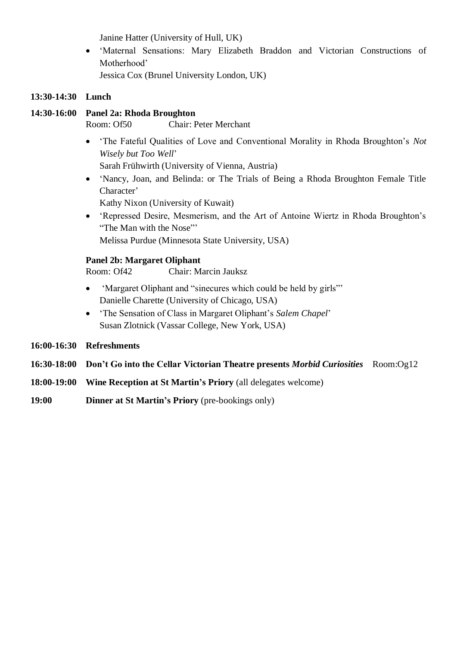Janine Hatter (University of Hull, UK)

 'Maternal Sensations: Mary Elizabeth Braddon and Victorian Constructions of Motherhood'

Jessica Cox (Brunel University London, UK)

### **13:30-14:30 Lunch**

### **14:30-16:00 Panel 2a: Rhoda Broughton**

Room: Of50 Chair: Peter Merchant

 'The Fateful Qualities of Love and Conventional Morality in Rhoda Broughton's *Not Wisely but Too Well*'

Sarah Frühwirth (University of Vienna, Austria)

 'Nancy, Joan, and Belinda: or The Trials of Being a Rhoda Broughton Female Title Character'

Kathy Nixon (University of Kuwait)

 'Repressed Desire, Mesmerism, and the Art of Antoine Wiertz in Rhoda Broughton's "The Man with the Nose"' Melissa Purdue (Minnesota State University, USA)

### **Panel 2b: Margaret Oliphant**

Room: Of42 Chair: Marcin Jauksz

- 'Margaret Oliphant and "sinecures which could be held by girls"' Danielle Charette (University of Chicago, USA)
- 'The Sensation of Class in Margaret Oliphant's *Salem Chapel*' Susan Zlotnick (Vassar College, New York, USA)
- **16:00-16:30 Refreshments**
- **16:30-18:00 Don't Go into the Cellar Victorian Theatre presents** *Morbid Curiosities* Room:Og12
- **18:00-19:00 Wine Reception at St Martin's Priory** (all delegates welcome)
- **19:00 Dinner at St Martin's Priory** (pre-bookings only)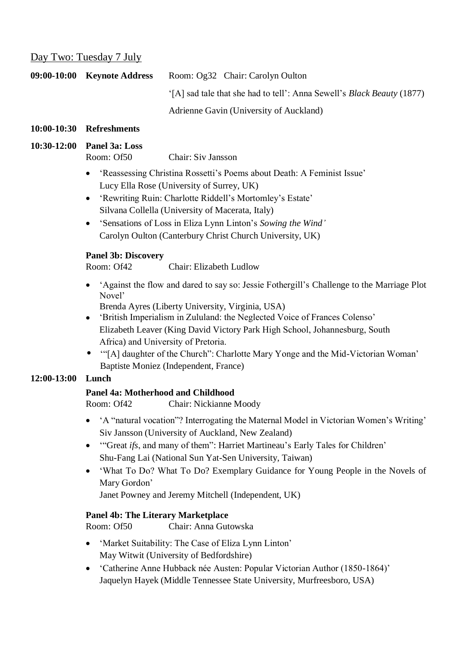### Day Two: Tuesday 7 July

| 09:00-10:00 Keynote Address | Room: Og32 Chair: Carolyn Oulton                                              |
|-----------------------------|-------------------------------------------------------------------------------|
|                             | '[A] sad tale that she had to tell': Anna Sewell's <i>Black Beauty</i> (1877) |
|                             | Adrienne Gavin (University of Auckland)                                       |

#### **10:00-10:30 Refreshments**

#### **10:30-12:00 Panel 3a: Loss** Room: Of50 Chair: Siv Jansson

 'Reassessing Christina Rossetti's Poems about Death: A Feminist Issue' Lucy Ella Rose (University of Surrey, UK)

- 'Rewriting Ruin: Charlotte Riddell's Mortomley's Estate' Silvana Collella (University of Macerata, Italy)
- 'Sensations of Loss in Eliza Lynn Linton's *Sowing the Wind'* Carolyn Oulton (Canterbury Christ Church University, UK)

#### **Panel 3b: Discovery**

Room: Of42 Chair: Elizabeth Ludlow

 'Against the flow and dared to say so: Jessie Fothergill's Challenge to the Marriage Plot Novel'

Brenda Ayres (Liberty University, Virginia, USA)

- 'British Imperialism in Zululand: the Neglected Voice of Frances Colenso' Elizabeth Leaver (King David Victory Park High School, Johannesburg, South Africa) and University of Pretoria.
- '"[A] daughter of the Church": Charlotte Mary Yonge and the Mid-Victorian Woman' Baptiste Moniez (Independent, France)

# **12:00-13:00 Lunch**

# **Panel 4a: Motherhood and Childhood**

Room: Of42 Chair: Nickianne Moody

- 'A "natural vocation"? Interrogating the Maternal Model in Victorian Women's Writing' Siv Jansson (University of Auckland, New Zealand)
- '"Great *ifs*, and many of them": Harriet Martineau's Early Tales for Children' Shu-Fang Lai (National Sun Yat-Sen University, Taiwan)
- 'What To Do? What To Do? Exemplary Guidance for Young People in the Novels of Mary Gordon'

Janet Powney and Jeremy Mitchell (Independent, UK)

# **Panel 4b: The Literary Marketplace**

Room: Of50 Chair: Anna Gutowska

- 'Market Suitability: The Case of Eliza Lynn Linton' May Witwit (University of Bedfordshire)
- 'Catherine Anne Hubback née Austen: Popular Victorian Author (1850-1864)' Jaquelyn Hayek (Middle Tennessee State University, Murfreesboro, USA)